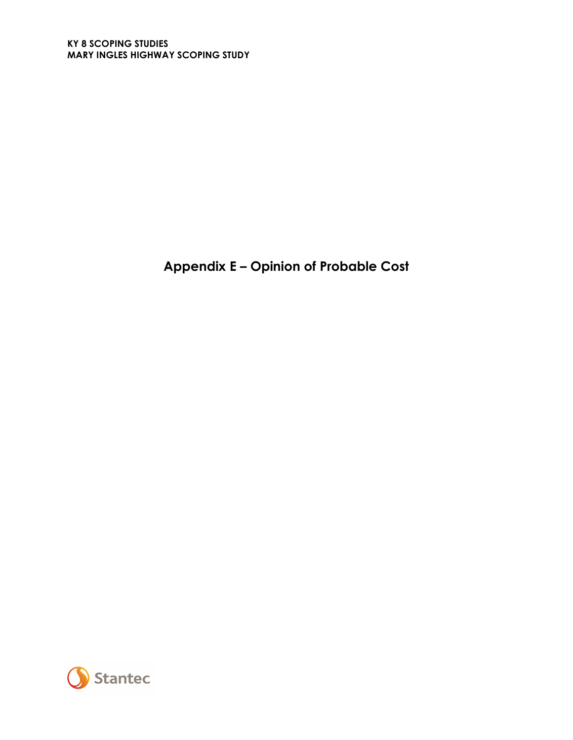**Appendix E – Opinion of Probable Cost**

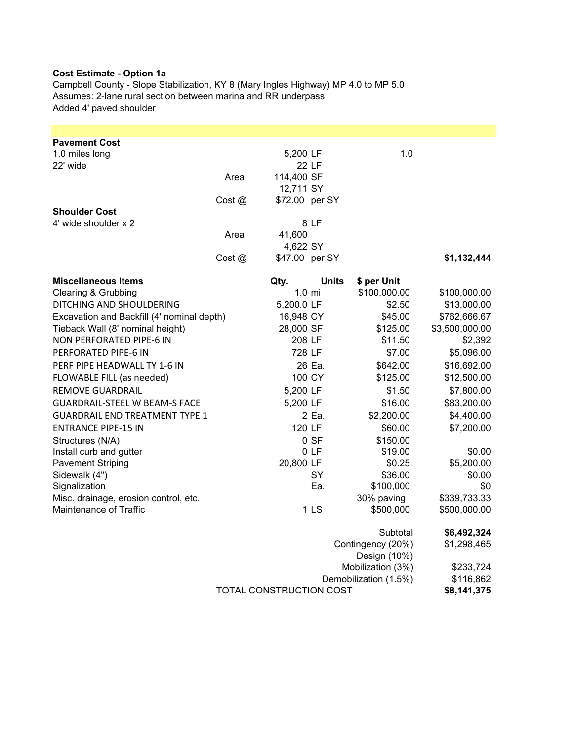## **Cost Estimate - Option 1a**

Campbell County - Slope Stabilization, KY 8 (Mary Ingles Highway) MP 4.0 to MP 5.0 Assumes: 2-lane rural section between marina and RR underpass Added 4' paved shoulder

| <b>Pavement Cost</b>                       |        |                         |                 |                                            |                        |
|--------------------------------------------|--------|-------------------------|-----------------|--------------------------------------------|------------------------|
| 1.0 miles long                             |        | 5,200 LF                |                 | 1.0                                        |                        |
| 22' wide                                   | Area   | 114,400 SF              | 22 LF           |                                            |                        |
|                                            |        | 12,711 SY               |                 |                                            |                        |
|                                            | Cost @ | \$72.00 per SY          |                 |                                            |                        |
| <b>Shoulder Cost</b>                       |        |                         |                 |                                            |                        |
| 4' wide shoulder x 2                       |        |                         | 8 LF            |                                            |                        |
|                                            | Area   | 41,600                  |                 |                                            |                        |
|                                            |        | 4,622 SY                |                 |                                            |                        |
|                                            | Cost @ | \$47.00 per SY          |                 |                                            | \$1,132,444            |
| <b>Miscellaneous Items</b>                 |        | Qty.                    | <b>Units</b>    | \$ per Unit                                |                        |
| Clearing & Grubbing                        |        | $1.0 \text{ mi}$        |                 | \$100,000.00                               | \$100,000.00           |
| DITCHING AND SHOULDERING                   |        | 5,200.0 LF              |                 | \$2.50                                     | \$13,000.00            |
| Excavation and Backfill (4' nominal depth) |        | 16,948 CY               |                 | \$45.00                                    | \$762,666.67           |
| Tieback Wall (8' nominal height)           |        | 28,000 SF               |                 | \$125.00                                   | \$3,500,000.00         |
| NON PERFORATED PIPE-6 IN                   |        | 208 LF                  |                 | \$11.50                                    | \$2,392                |
| PERFORATED PIPE-6 IN                       |        | 728 LF                  |                 | \$7.00                                     | \$5,096.00             |
| PERF PIPE HEADWALL TY 1-6 IN               |        |                         | 26 Ea.          | \$642.00                                   | \$16,692.00            |
| FLOWABLE FILL (as needed)                  |        | 100 CY                  |                 | \$125.00                                   | \$12,500.00            |
| <b>REMOVE GUARDRAIL</b>                    |        | 5,200 LF                |                 | \$1.50                                     | \$7,800.00             |
| <b>GUARDRAIL-STEEL W BEAM-S FACE</b>       |        | 5,200 LF                |                 | \$16.00                                    | \$83,200.00            |
| <b>GUARDRAIL END TREATMENT TYPE 1</b>      |        |                         | 2 Ea.           | \$2,200.00                                 | \$4,400.00             |
| <b>ENTRANCE PIPE-15 IN</b>                 |        | 120 LF                  |                 | \$60.00                                    | \$7,200.00             |
| Structures (N/A)                           |        |                         | 0 S F           | \$150.00                                   |                        |
| Install curb and gutter                    |        |                         | 0LF             | \$19.00                                    | \$0.00                 |
| <b>Pavement Striping</b>                   |        | 20,800 LF               |                 | \$0.25                                     | \$5,200.00             |
| Sidewalk (4")                              |        |                         | SY              | \$36.00                                    | \$0.00                 |
| Signalization                              |        |                         | Ea.             | \$100,000                                  | \$0                    |
| Misc. drainage, erosion control, etc.      |        |                         |                 | 30% paving                                 | \$339,733.33           |
| Maintenance of Traffic                     |        |                         | 1 <sub>LS</sub> | \$500,000                                  | \$500,000.00           |
|                                            |        |                         |                 | Subtotal                                   | \$6,492,324            |
|                                            |        |                         |                 | Contingency (20%)                          | \$1,298,465            |
|                                            |        |                         |                 | Design (10%)                               |                        |
|                                            |        |                         |                 | Mobilization (3%)<br>Demobilization (1.5%) | \$233,724<br>\$116,862 |
|                                            |        | TOTAL CONSTRUCTION COST |                 |                                            | \$8,141,375            |
|                                            |        |                         |                 |                                            |                        |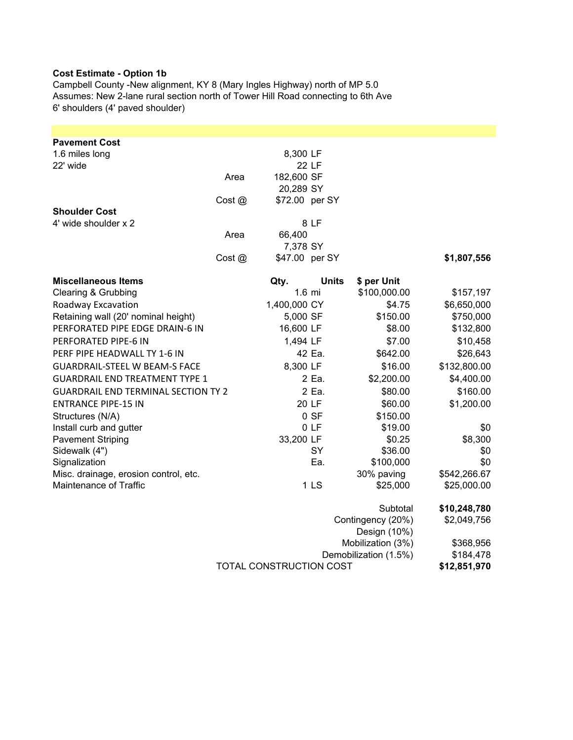## **Cost Estimate - Option 1b**

Campbell County -New alignment, KY 8 (Mary Ingles Highway) north of MP 5.0 Assumes: New 2-lane rural section north of Tower Hill Road connecting to 6th Ave 6' shoulders (4' paved shoulder)

| <b>Pavement Cost</b><br>1.6 miles long     |       | 8,300 LF                |                 |                                   |              |
|--------------------------------------------|-------|-------------------------|-----------------|-----------------------------------|--------------|
| 22' wide                                   |       |                         | 22 LF           |                                   |              |
|                                            | Area  | 182,600 SF              |                 |                                   |              |
|                                            |       | 20,289 SY               |                 |                                   |              |
|                                            | Cost@ | \$72.00 per SY          |                 |                                   |              |
| <b>Shoulder Cost</b>                       |       |                         |                 |                                   |              |
| 4' wide shoulder x 2                       |       |                         | 8 LF            |                                   |              |
|                                            | Area  | 66,400                  |                 |                                   |              |
|                                            |       | 7,378 SY                |                 |                                   |              |
|                                            | Cost@ | \$47.00 per SY          |                 |                                   | \$1,807,556  |
| <b>Miscellaneous Items</b>                 |       | Qty.                    | <b>Units</b>    | \$ per Unit                       |              |
| Clearing & Grubbing                        |       | $1.6$ mi                |                 | \$100,000.00                      | \$157,197    |
| Roadway Excavation                         |       | 1,400,000 CY            |                 | \$4.75                            | \$6,650,000  |
| Retaining wall (20' nominal height)        |       | 5,000 SF                |                 | \$150.00                          | \$750,000    |
| PERFORATED PIPE EDGE DRAIN-6 IN            |       | 16,600 LF               |                 | \$8.00                            | \$132,800    |
| PERFORATED PIPE-6 IN                       |       | 1,494 LF                |                 | \$7.00                            | \$10,458     |
| PERF PIPE HEADWALL TY 1-6 IN               |       |                         | 42 Ea.          | \$642.00                          | \$26,643     |
| <b>GUARDRAIL-STEEL W BEAM-S FACE</b>       |       | 8,300 LF                |                 | \$16.00                           | \$132,800.00 |
| <b>GUARDRAIL END TREATMENT TYPE 1</b>      |       |                         | 2 Ea.           | \$2,200.00                        | \$4,400.00   |
| <b>GUARDRAIL END TERMINAL SECTION TY 2</b> |       |                         | 2 Ea.           | \$80.00                           | \$160.00     |
| <b>ENTRANCE PIPE-15 IN</b>                 |       |                         | 20 LF           | \$60.00                           | \$1,200.00   |
| Structures (N/A)                           |       |                         | 0 S F           | \$150.00                          |              |
| Install curb and gutter                    |       |                         | 0LF             | \$19.00                           | \$0          |
| <b>Pavement Striping</b>                   |       | 33,200 LF               |                 | \$0.25                            | \$8,300      |
| Sidewalk (4")                              |       |                         | SY              | \$36.00                           | \$0          |
| Signalization                              |       |                         | Ea.             | \$100,000                         | \$0          |
| Misc. drainage, erosion control, etc.      |       |                         |                 | 30% paving                        | \$542,266.67 |
| Maintenance of Traffic                     |       |                         | 1 <sub>LS</sub> | \$25,000                          | \$25,000.00  |
|                                            |       |                         |                 | Subtotal                          | \$10,248,780 |
|                                            |       |                         |                 | Contingency (20%)<br>Design (10%) | \$2,049,756  |
|                                            |       |                         |                 | Mobilization (3%)                 | \$368,956    |
|                                            |       |                         |                 | Demobilization (1.5%)             | \$184,478    |
|                                            |       | TOTAL CONSTRUCTION COST |                 |                                   |              |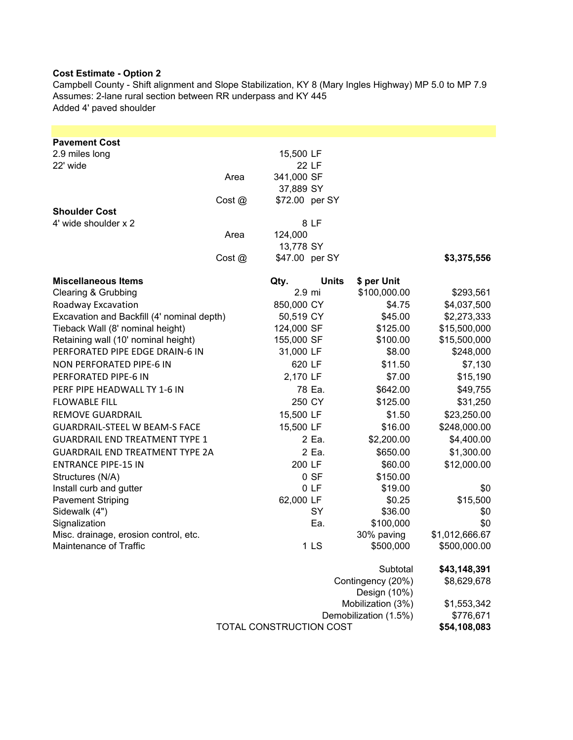## **Cost Estimate - Option 2**

Campbell County - Shift alignment and Slope Stabilization, KY 8 (Mary Ingles Highway) MP 5.0 to MP 7.9 Assumes: 2-lane rural section between RR underpass and KY 445 Added 4' paved shoulder

| <b>Pavement Cost</b>                       |        |            |                 |                                   |                |
|--------------------------------------------|--------|------------|-----------------|-----------------------------------|----------------|
| 2.9 miles long<br>22' wide                 |        | 15,500 LF  |                 |                                   |                |
|                                            | Area   | 341,000 SF | <b>22 LF</b>    |                                   |                |
|                                            |        | 37,889 SY  |                 |                                   |                |
|                                            | Cost @ |            | \$72.00 per SY  |                                   |                |
| <b>Shoulder Cost</b>                       |        |            |                 |                                   |                |
| 4' wide shoulder x 2                       |        |            | 8 LF            |                                   |                |
|                                            | Area   | 124,000    |                 |                                   |                |
|                                            |        | 13,778 SY  |                 |                                   |                |
|                                            | Cost@  |            | \$47.00 per SY  |                                   | \$3,375,556    |
| <b>Miscellaneous Items</b>                 |        | Qty.       | <b>Units</b>    | \$ per Unit                       |                |
| Clearing & Grubbing                        |        |            | 2.9 mi          | \$100,000.00                      | \$293,561      |
| Roadway Excavation                         |        | 850,000 CY |                 | \$4.75                            | \$4,037,500    |
| Excavation and Backfill (4' nominal depth) |        | 50,519 CY  |                 | \$45.00                           | \$2,273,333    |
| Tieback Wall (8' nominal height)           |        | 124,000 SF |                 | \$125.00                          | \$15,500,000   |
| Retaining wall (10' nominal height)        |        | 155,000 SF |                 | \$100.00                          | \$15,500,000   |
| PERFORATED PIPE EDGE DRAIN-6 IN            |        | 31,000 LF  |                 | \$8.00                            | \$248,000      |
| NON PERFORATED PIPE-6 IN                   |        |            | 620 LF          | \$11.50                           | \$7,130        |
| PERFORATED PIPE-6 IN                       |        | 2,170 LF   |                 | \$7.00                            | \$15,190       |
| PERF PIPE HEADWALL TY 1-6 IN               |        |            | 78 Ea.          | \$642.00                          | \$49,755       |
| <b>FLOWABLE FILL</b>                       |        |            | 250 CY          | \$125.00                          | \$31,250       |
| <b>REMOVE GUARDRAIL</b>                    |        | 15,500 LF  |                 | \$1.50                            | \$23,250.00    |
| <b>GUARDRAIL-STEEL W BEAM-S FACE</b>       |        | 15,500 LF  |                 | \$16.00                           | \$248,000.00   |
| <b>GUARDRAIL END TREATMENT TYPE 1</b>      |        |            | 2 Ea.           | \$2,200.00                        | \$4,400.00     |
| <b>GUARDRAIL END TREATMENT TYPE 2A</b>     |        |            | 2 Ea.           | \$650.00                          | \$1,300.00     |
| <b>ENTRANCE PIPE-15 IN</b>                 |        |            | 200 LF          | \$60.00                           | \$12,000.00    |
| Structures (N/A)                           |        |            | 0 S F           | \$150.00                          |                |
| Install curb and gutter                    |        |            | 0LF             | \$19.00                           | \$0            |
| <b>Pavement Striping</b>                   |        | 62,000 LF  |                 | \$0.25                            | \$15,500       |
| Sidewalk (4")                              |        |            | SY              | \$36.00                           | \$0            |
| Signalization                              |        |            | Ea.             | \$100,000                         | \$0            |
| Misc. drainage, erosion control, etc.      |        |            |                 | 30% paving                        | \$1,012,666.67 |
| Maintenance of Traffic                     |        |            | 1 <sub>LS</sub> | \$500,000                         | \$500,000.00   |
|                                            |        |            |                 | Subtotal                          | \$43,148,391   |
|                                            |        |            |                 | Contingency (20%)<br>Design (10%) | \$8,629,678    |

| Demobilization (1.5%)   | \$776,671    |
|-------------------------|--------------|
| TOTAL CONSTRUCTION COST | \$54,108,083 |

Mobilization (3%) \$1,553,342